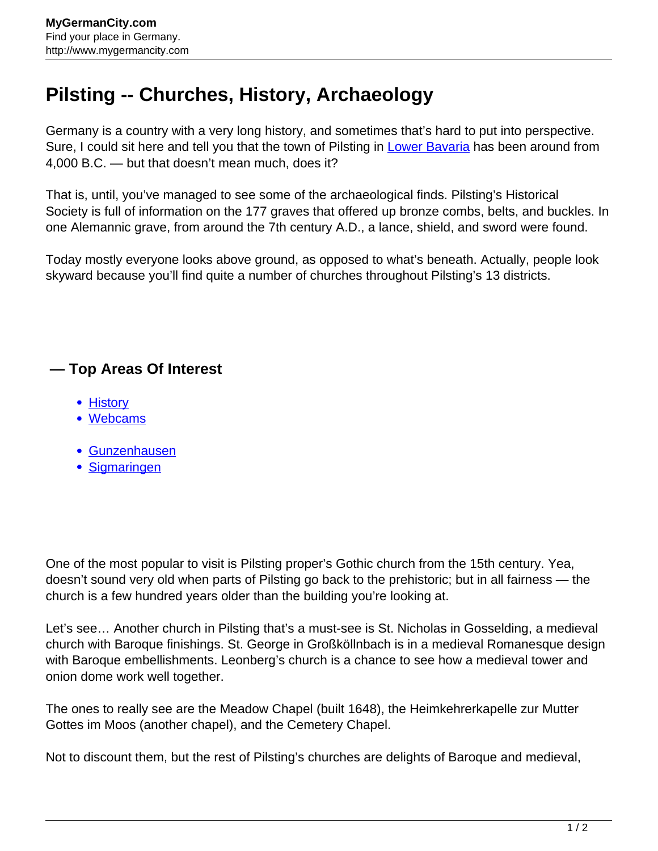## **Pilsting -- Churches, History, Archaeology**

Germany is a country with a very long history, and sometimes that's hard to put into perspective. Sure, I could sit here and tell you that the town of Pilsting in [Lower Bavaria](http://www.mygermancity.com/lower-bavaria) has been around from 4,000 B.C. — but that doesn't mean much, does it?

That is, until, you've managed to see some of the archaeological finds. Pilsting's Historical Society is full of information on the 177 graves that offered up bronze combs, belts, and buckles. In one Alemannic grave, from around the 7th century A.D., a lance, shield, and sword were found.

Today mostly everyone looks above ground, as opposed to what's beneath. Actually, people look skyward because you'll find quite a number of churches throughout Pilsting's 13 districts.

## **— Top Areas Of Interest**

- [History](http://www.mygermancity.com/leipzig-history)
- [Webcams](http://www.mygermancity.com/neustadt-holstein-webcams)
- [Gunzenhausen](http://www.mygermancity.com/gunzenhausen)
- [Sigmaringen](http://www.mygermancity.com/sigmaringen)

One of the most popular to visit is Pilsting proper's Gothic church from the 15th century. Yea, doesn't sound very old when parts of Pilsting go back to the prehistoric; but in all fairness — the church is a few hundred years older than the building you're looking at.

Let's see… Another church in Pilsting that's a must-see is St. Nicholas in Gosselding, a medieval church with Baroque finishings. St. George in Großköllnbach is in a medieval Romanesque design with Baroque embellishments. Leonberg's church is a chance to see how a medieval tower and onion dome work well together.

The ones to really see are the Meadow Chapel (built 1648), the Heimkehrerkapelle zur Mutter Gottes im Moos (another chapel), and the Cemetery Chapel.

Not to discount them, but the rest of Pilsting's churches are delights of Baroque and medieval,